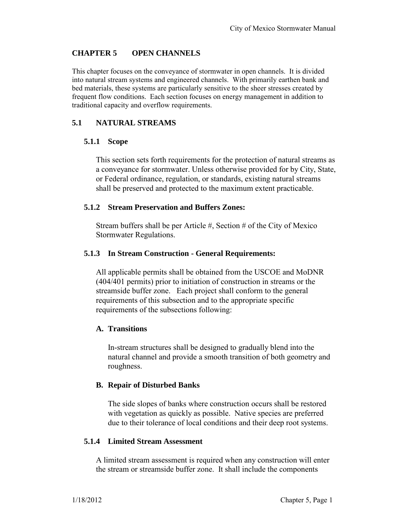## **CHAPTER 5 OPEN CHANNELS**

This chapter focuses on the conveyance of stormwater in open channels. It is divided into natural stream systems and engineered channels. With primarily earthen bank and bed materials, these systems are particularly sensitive to the sheer stresses created by frequent flow conditions. Each section focuses on energy management in addition to traditional capacity and overflow requirements.

## **5.1 NATURAL STREAMS**

#### **5.1.1 Scope**

This section sets forth requirements for the protection of natural streams as a conveyance for stormwater. Unless otherwise provided for by City, State, or Federal ordinance, regulation, or standards, existing natural streams shall be preserved and protected to the maximum extent practicable.

#### **5.1.2 Stream Preservation and Buffers Zones:**

Stream buffers shall be per Article #, Section # of the City of Mexico Stormwater Regulations.

## **5.1.3 In Stream Construction - General Requirements:**

All applicable permits shall be obtained from the USCOE and MoDNR (404/401 permits) prior to initiation of construction in streams or the streamside buffer zone. Each project shall conform to the general requirements of this subsection and to the appropriate specific requirements of the subsections following:

## **A. Transitions**

In-stream structures shall be designed to gradually blend into the natural channel and provide a smooth transition of both geometry and roughness.

#### **B. Repair of Disturbed Banks**

The side slopes of banks where construction occurs shall be restored with vegetation as quickly as possible. Native species are preferred due to their tolerance of local conditions and their deep root systems.

## **5.1.4 Limited Stream Assessment**

A limited stream assessment is required when any construction will enter the stream or streamside buffer zone. It shall include the components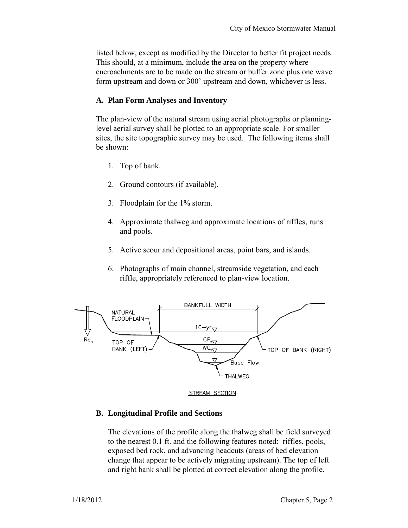listed below, except as modified by the Director to better fit project needs. This should, at a minimum, include the area on the property where encroachments are to be made on the stream or buffer zone plus one wave form upstream and down or 300' upstream and down, whichever is less.

## **A. Plan Form Analyses and Inventory**

The plan-view of the natural stream using aerial photographs or planninglevel aerial survey shall be plotted to an appropriate scale. For smaller sites, the site topographic survey may be used. The following items shall be shown:

- 1. Top of bank.
- 2. Ground contours (if available).
- 3. Floodplain for the 1% storm.
- 4. Approximate thalweg and approximate locations of riffles, runs and pools.
- 5. Active scour and depositional areas, point bars, and islands.
- 6. Photographs of main channel, streamside vegetation, and each riffle, appropriately referenced to plan-view location.





#### **B. Longitudinal Profile and Sections**

The elevations of the profile along the thalweg shall be field surveyed to the nearest 0.1 ft. and the following features noted: riffles, pools, exposed bed rock, and advancing headcuts (areas of bed elevation change that appear to be actively migrating upstream). The top of left and right bank shall be plotted at correct elevation along the profile.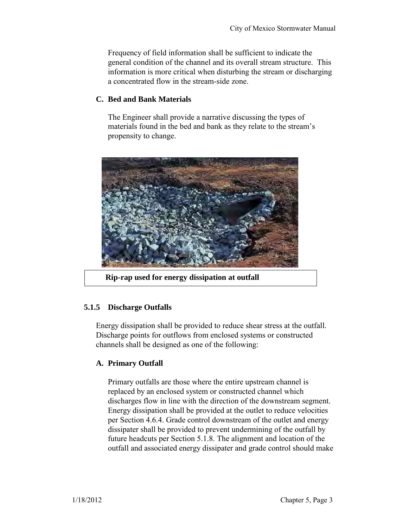Frequency of field information shall be sufficient to indicate the general condition of the channel and its overall stream structure. This information is more critical when disturbing the stream or discharging a concentrated flow in the stream-side zone.

### **C. Bed and Bank Materials**

The Engineer shall provide a narrative discussing the types of materials found in the bed and bank as they relate to the stream's propensity to change.



 **Rip-rap used for energy dissipation at outfall**

## **5.1.5 Discharge Outfalls**

Energy dissipation shall be provided to reduce shear stress at the outfall. Discharge points for outflows from enclosed systems or constructed channels shall be designed as one of the following:

## **A. Primary Outfall**

Primary outfalls are those where the entire upstream channel is replaced by an enclosed system or constructed channel which discharges flow in line with the direction of the downstream segment. Energy dissipation shall be provided at the outlet to reduce velocities per Section 4.6.4. Grade control downstream of the outlet and energy dissipater shall be provided to prevent undermining of the outfall by future headcuts per Section 5.1.8. The alignment and location of the outfall and associated energy dissipater and grade control should make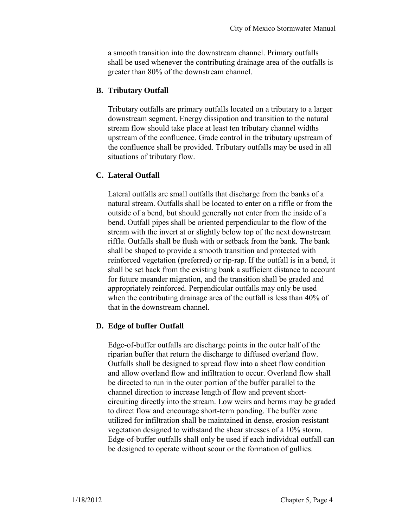a smooth transition into the downstream channel. Primary outfalls shall be used whenever the contributing drainage area of the outfalls is greater than 80% of the downstream channel.

## **B. Tributary Outfall**

Tributary outfalls are primary outfalls located on a tributary to a larger downstream segment. Energy dissipation and transition to the natural stream flow should take place at least ten tributary channel widths upstream of the confluence. Grade control in the tributary upstream of the confluence shall be provided. Tributary outfalls may be used in all situations of tributary flow.

## **C. Lateral Outfall**

Lateral outfalls are small outfalls that discharge from the banks of a natural stream. Outfalls shall be located to enter on a riffle or from the outside of a bend, but should generally not enter from the inside of a bend. Outfall pipes shall be oriented perpendicular to the flow of the stream with the invert at or slightly below top of the next downstream riffle. Outfalls shall be flush with or setback from the bank. The bank shall be shaped to provide a smooth transition and protected with reinforced vegetation (preferred) or rip-rap. If the outfall is in a bend, it shall be set back from the existing bank a sufficient distance to account for future meander migration, and the transition shall be graded and appropriately reinforced. Perpendicular outfalls may only be used when the contributing drainage area of the outfall is less than 40% of that in the downstream channel.

## **D. Edge of buffer Outfall**

Edge-of-buffer outfalls are discharge points in the outer half of the riparian buffer that return the discharge to diffused overland flow. Outfalls shall be designed to spread flow into a sheet flow condition and allow overland flow and infiltration to occur. Overland flow shall be directed to run in the outer portion of the buffer parallel to the channel direction to increase length of flow and prevent shortcircuiting directly into the stream. Low weirs and berms may be graded to direct flow and encourage short-term ponding. The buffer zone utilized for infiltration shall be maintained in dense, erosion-resistant vegetation designed to withstand the shear stresses of a 10% storm. Edge-of-buffer outfalls shall only be used if each individual outfall can be designed to operate without scour or the formation of gullies.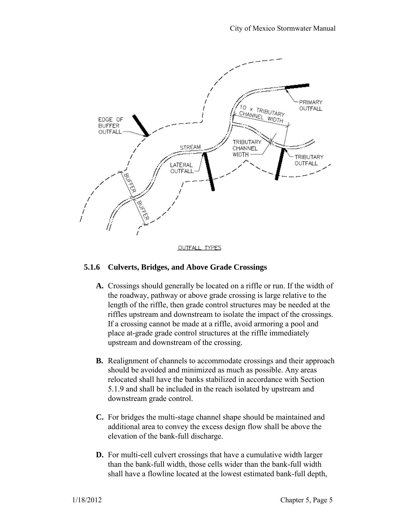

**OUTFALL TYPES** 

## **5.1.6 Culverts, Bridges, and Above Grade Crossings**

- **A.** Crossings should generally be located on a riffle or run. If the width of the roadway, pathway or above grade crossing is large relative to the length of the riffle, then grade control structures may be needed at the riffles upstream and downstream to isolate the impact of the crossings. If a crossing cannot be made at a riffle, avoid armoring a pool and place at-grade grade control structures at the riffle immediately upstream and downstream of the crossing.
- **B.** Realignment of channels to accommodate crossings and their approach should be avoided and minimized as much as possible. Any areas relocated shall have the banks stabilized in accordance with Section 5.1.9 and shall be included in the reach isolated by upstream and downstream grade control.
- **C.** For bridges the multi-stage channel shape should be maintained and additional area to convey the excess design flow shall be above the elevation of the bank-full discharge.
- **D.** For multi-cell culvert crossings that have a cumulative width larger than the bank-full width, those cells wider than the bank-full width shall have a flowline located at the lowest estimated bank-full depth,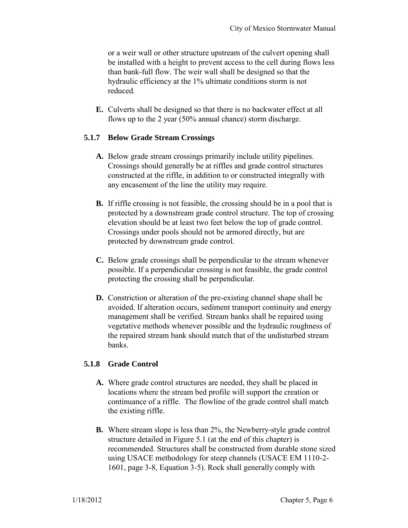or a weir wall or other structure upstream of the culvert opening shall be installed with a height to prevent access to the cell during flows less than bank-full flow. The weir wall shall be designed so that the hydraulic efficiency at the 1% ultimate conditions storm is not reduced.

**E.** Culverts shall be designed so that there is no backwater effect at all flows up to the 2 year (50% annual chance) storm discharge.

## **5.1.7 Below Grade Stream Crossings**

- **A.** Below grade stream crossings primarily include utility pipelines. Crossings should generally be at riffles and grade control structures constructed at the riffle, in addition to or constructed integrally with any encasement of the line the utility may require.
- **B.** If riffle crossing is not feasible, the crossing should be in a pool that is protected by a downstream grade control structure. The top of crossing elevation should be at least two feet below the top of grade control. Crossings under pools should not be armored directly, but are protected by downstream grade control.
- **C.** Below grade crossings shall be perpendicular to the stream whenever possible. If a perpendicular crossing is not feasible, the grade control protecting the crossing shall be perpendicular.
- **D.** Constriction or alteration of the pre-existing channel shape shall be avoided. If alteration occurs, sediment transport continuity and energy management shall be verified. Stream banks shall be repaired using vegetative methods whenever possible and the hydraulic roughness of the repaired stream bank should match that of the undisturbed stream banks.

## **5.1.8 Grade Control**

- **A.** Where grade control structures are needed, they shall be placed in locations where the stream bed profile will support the creation or continuance of a riffle. The flowline of the grade control shall match the existing riffle.
- **B.** Where stream slope is less than 2%, the Newberry-style grade control structure detailed in Figure 5.1 (at the end of this chapter) is recommended. Structures shall be constructed from durable stone sized using USACE methodology for steep channels (USACE EM 1110-2- 1601, page 3-8, Equation 3-5). Rock shall generally comply with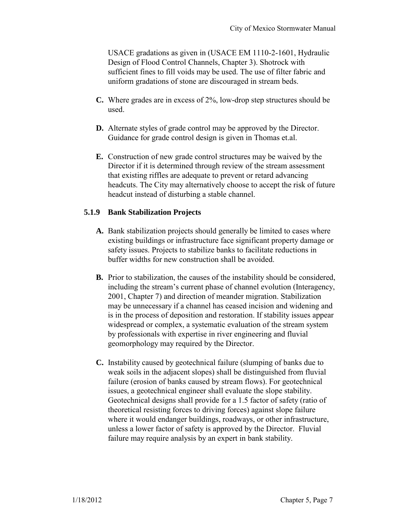USACE gradations as given in (USACE EM 1110-2-1601, Hydraulic Design of Flood Control Channels, Chapter 3). Shotrock with sufficient fines to fill voids may be used. The use of filter fabric and uniform gradations of stone are discouraged in stream beds.

- **C.** Where grades are in excess of 2%, low-drop step structures should be used.
- **D.** Alternate styles of grade control may be approved by the Director. Guidance for grade control design is given in Thomas et.al.
- **E.** Construction of new grade control structures may be waived by the Director if it is determined through review of the stream assessment that existing riffles are adequate to prevent or retard advancing headcuts. The City may alternatively choose to accept the risk of future headcut instead of disturbing a stable channel.

## **5.1.9 Bank Stabilization Projects**

- **A.** Bank stabilization projects should generally be limited to cases where existing buildings or infrastructure face significant property damage or safety issues. Projects to stabilize banks to facilitate reductions in buffer widths for new construction shall be avoided.
- **B.** Prior to stabilization, the causes of the instability should be considered, including the stream's current phase of channel evolution (Interagency, 2001, Chapter 7) and direction of meander migration. Stabilization may be unnecessary if a channel has ceased incision and widening and is in the process of deposition and restoration. If stability issues appear widespread or complex, a systematic evaluation of the stream system by professionals with expertise in river engineering and fluvial geomorphology may required by the Director.
- **C.** Instability caused by geotechnical failure (slumping of banks due to weak soils in the adjacent slopes) shall be distinguished from fluvial failure (erosion of banks caused by stream flows). For geotechnical issues, a geotechnical engineer shall evaluate the slope stability. Geotechnical designs shall provide for a 1.5 factor of safety (ratio of theoretical resisting forces to driving forces) against slope failure where it would endanger buildings, roadways, or other infrastructure, unless a lower factor of safety is approved by the Director. Fluvial failure may require analysis by an expert in bank stability.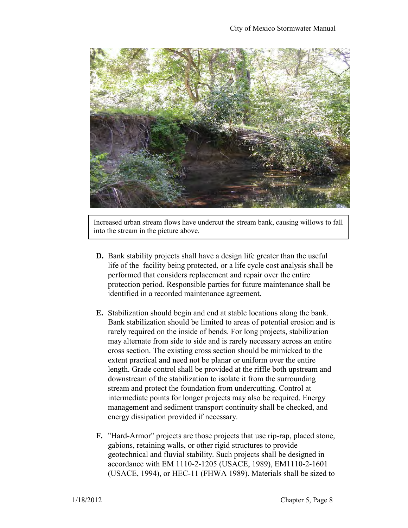

Increased urban stream flows have undercut the stream bank, causing willows to fall into the stream in the picture above.

- **D.** Bank stability projects shall have a design life greater than the useful life of the facility being protected, or a life cycle cost analysis shall be performed that considers replacement and repair over the entire protection period. Responsible parties for future maintenance shall be identified in a recorded maintenance agreement.
- **E.** Stabilization should begin and end at stable locations along the bank. Bank stabilization should be limited to areas of potential erosion and is rarely required on the inside of bends. For long projects, stabilization may alternate from side to side and is rarely necessary across an entire cross section. The existing cross section should be mimicked to the extent practical and need not be planar or uniform over the entire length. Grade control shall be provided at the riffle both upstream and downstream of the stabilization to isolate it from the surrounding stream and protect the foundation from undercutting. Control at intermediate points for longer projects may also be required. Energy management and sediment transport continuity shall be checked, and energy dissipation provided if necessary.
- **F.** "Hard-Armor" projects are those projects that use rip-rap, placed stone, gabions, retaining walls, or other rigid structures to provide geotechnical and fluvial stability. Such projects shall be designed in accordance with EM 1110-2-1205 (USACE, 1989), EM1110-2-1601 (USACE, 1994), or HEC-11 (FHWA 1989). Materials shall be sized to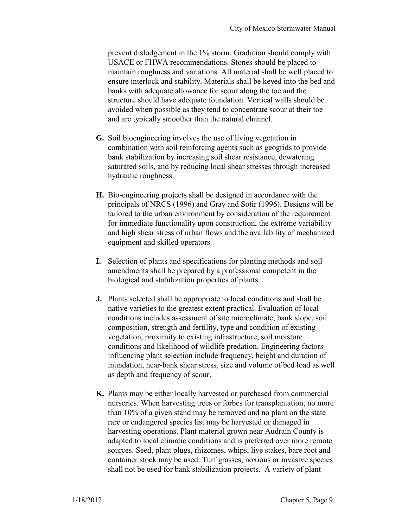prevent dislodgement in the 1% storm. Gradation should comply with USACE or FHWA recommendations. Stones should be placed to maintain roughness and variations. All material shall be well placed to ensure interlock and stability. Materials shall be keyed into the bed and banks with adequate allowance for scour along the toe and the structure should have adequate foundation. Vertical walls should be avoided when possible as they tend to concentrate scour at their toe and are typically smoother than the natural channel.

- **G.** Soil bioengineering involves the use of living vegetation in combination with soil reinforcing agents such as geogrids to provide bank stabilization by increasing soil shear resistance, dewatering saturated soils, and by reducing local shear stresses through increased hydraulic roughness.
- **H.** Bio-engineering projects shall be designed in accordance with the principals of NRCS (1996) and Gray and Sotir (1996). Designs will be tailored to the urban environment by consideration of the requirement for immediate functionality upon construction, the extreme variability and high shear stress of urban flows and the availability of mechanized equipment and skilled operators.
- **I.** Selection of plants and specifications for planting methods and soil amendments shall be prepared by a professional competent in the biological and stabilization properties of plants.
- **J.** Plants selected shall be appropriate to local conditions and shall be native varieties to the greatest extent practical. Evaluation of local conditions includes assessment of site microclimate, bank slope, soil composition, strength and fertility, type and condition of existing vegetation, proximity to existing infrastructure, soil moisture conditions and likelihood of wildlife predation. Engineering factors influencing plant selection include frequency, height and duration of inundation, near-bank shear stress, size and volume of bed load as well as depth and frequency of scour.
- **K.** Plants may be either locally harvested or purchased from commercial nurseries. When harvesting trees or forbes for transplantation, no more than 10% of a given stand may be removed and no plant on the state rare or endangered species list may be harvested or damaged in harvesting operations. Plant material grown near Audrain County is adapted to local climatic conditions and is preferred over more remote sources. Seed, plant plugs, rhizomes, whips, live stakes, bare root and container stock may be used. Turf grasses, noxious or invasive species shall not be used for bank stabilization projects. A variety of plant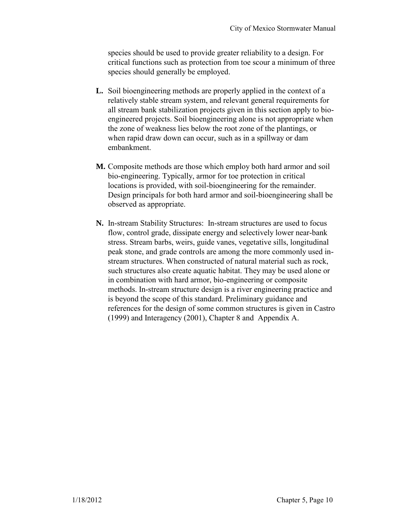species should be used to provide greater reliability to a design. For critical functions such as protection from toe scour a minimum of three species should generally be employed.

- **L.** Soil bioengineering methods are properly applied in the context of a relatively stable stream system, and relevant general requirements for all stream bank stabilization projects given in this section apply to bioengineered projects. Soil bioengineering alone is not appropriate when the zone of weakness lies below the root zone of the plantings, or when rapid draw down can occur, such as in a spillway or dam embankment.
- **M.** Composite methods are those which employ both hard armor and soil bio-engineering. Typically, armor for toe protection in critical locations is provided, with soil-bioengineering for the remainder. Design principals for both hard armor and soil-bioengineering shall be observed as appropriate.
- **N.** In-stream Stability Structures: In-stream structures are used to focus flow, control grade, dissipate energy and selectively lower near-bank stress. Stream barbs, weirs, guide vanes, vegetative sills, longitudinal peak stone, and grade controls are among the more commonly used instream structures. When constructed of natural material such as rock, such structures also create aquatic habitat. They may be used alone or in combination with hard armor, bio-engineering or composite methods. In-stream structure design is a river engineering practice and is beyond the scope of this standard. Preliminary guidance and references for the design of some common structures is given in Castro (1999) and Interagency (2001), Chapter 8 and Appendix A.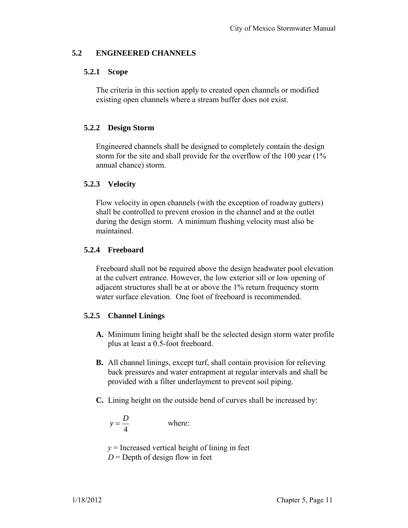## **5.2 ENGINEERED CHANNELS**

## **5.2.1 Scope**

The criteria in this section apply to created open channels or modified existing open channels where a stream buffer does not exist.

## **5.2.2 Design Storm**

Engineered channels shall be designed to completely contain the design storm for the site and shall provide for the overflow of the 100 year (1% annual chance) storm.

## **5.2.3 Velocity**

Flow velocity in open channels (with the exception of roadway gutters) shall be controlled to prevent erosion in the channel and at the outlet during the design storm. A minimum flushing velocity must also be maintained.

## **5.2.4 Freeboard**

Freeboard shall not be required above the design headwater pool elevation at the culvert entrance. However, the low exterior sill or low opening of adjacent structures shall be at or above the 1% return frequency storm water surface elevation. One foot of freeboard is recommended.

## **5.2.5 Channel Linings**

- **A.** Minimum lining height shall be the selected design storm water profile plus at least a 0.5-foot freeboard.
- **B.** All channel linings, except turf, shall contain provision for relieving back pressures and water entrapment at regular intervals and shall be provided with a filter underlayment to prevent soil piping.
- **C.** Lining height on the outside bend of curves shall be increased by:

$$
y = \frac{D}{4}
$$
 where:

 $y =$ Increased vertical height of lining in feet  $D =$  Depth of design flow in feet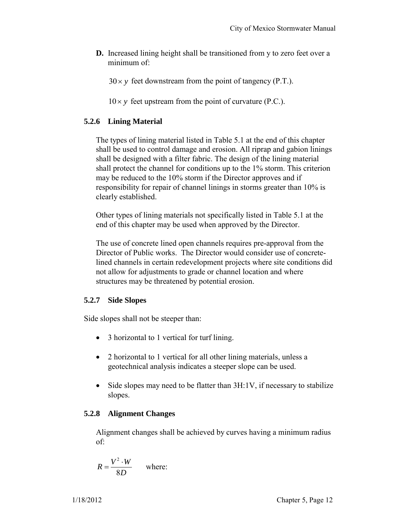**D.** Increased lining height shall be transitioned from y to zero feet over a minimum of:

 $30 \times y$  feet downstream from the point of tangency (P.T.).

 $10 \times y$  feet upstream from the point of curvature (P.C.).

## **5.2.6 Lining Material**

The types of lining material listed in Table 5.1 at the end of this chapter shall be used to control damage and erosion. All riprap and gabion linings shall be designed with a filter fabric. The design of the lining material shall protect the channel for conditions up to the 1% storm. This criterion may be reduced to the 10% storm if the Director approves and if responsibility for repair of channel linings in storms greater than 10% is clearly established.

Other types of lining materials not specifically listed in Table 5.1 at the end of this chapter may be used when approved by the Director.

The use of concrete lined open channels requires pre-approval from the Director of Public works. The Director would consider use of concretelined channels in certain redevelopment projects where site conditions did not allow for adjustments to grade or channel location and where structures may be threatened by potential erosion.

## **5.2.7 Side Slopes**

Side slopes shall not be steeper than:

- 3 horizontal to 1 vertical for turf lining.
- 2 horizontal to 1 vertical for all other lining materials, unless a geotechnical analysis indicates a steeper slope can be used.
- $\bullet$  Side slopes may need to be flatter than  $3H:1V$ , if necessary to stabilize slopes.

## **5.2.8 Alignment Changes**

Alignment changes shall be achieved by curves having a minimum radius of:

$$
R = \frac{V^2 \cdot W}{8D} \quad \text{where:}
$$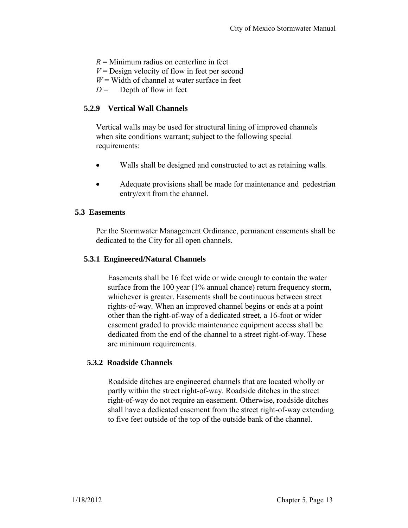$R =$ Minimum radius on centerline in feet  $V =$  Design velocity of flow in feet per second  $W =$  Width of channel at water surface in feet  $D =$  Depth of flow in feet

## **5.2.9 Vertical Wall Channels**

Vertical walls may be used for structural lining of improved channels when site conditions warrant; subject to the following special requirements:

- Walls shall be designed and constructed to act as retaining walls.
- Adequate provisions shall be made for maintenance and pedestrian entry/exit from the channel.

## **5.3 Easements**

Per the Stormwater Management Ordinance, permanent easements shall be dedicated to the City for all open channels.

## **5.3.1 Engineered/Natural Channels**

Easements shall be 16 feet wide or wide enough to contain the water surface from the 100 year (1% annual chance) return frequency storm, whichever is greater. Easements shall be continuous between street rights-of-way. When an improved channel begins or ends at a point other than the right-of-way of a dedicated street, a 16-foot or wider easement graded to provide maintenance equipment access shall be dedicated from the end of the channel to a street right-of-way. These are minimum requirements.

## **5.3.2 Roadside Channels**

Roadside ditches are engineered channels that are located wholly or partly within the street right-of-way. Roadside ditches in the street right-of-way do not require an easement. Otherwise, roadside ditches shall have a dedicated easement from the street right-of-way extending to five feet outside of the top of the outside bank of the channel.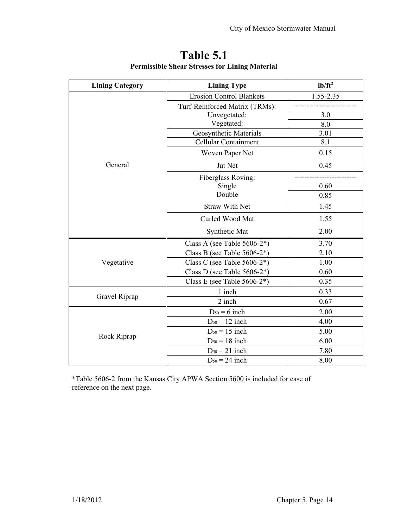| <b>Lining Category</b> | <b>Lining Type</b>              | $lb/ft^2$ |
|------------------------|---------------------------------|-----------|
| General                | <b>Erosion Control Blankets</b> | 1.55-2.35 |
|                        | Turf-Reinforced Matrix (TRMs):  |           |
|                        | Unvegetated:                    | 3.0       |
|                        | Vegetated:                      | 8.0       |
|                        | Geosynthetic Materials          | 3.01      |
|                        | Cellular Containment            | 8.1       |
|                        | Woven Paper Net                 | 0.15      |
|                        | Jut Net                         | 0.45      |
|                        | Fiberglass Roving:              |           |
|                        | Single                          | 0.60      |
|                        | Double                          | 0.85      |
|                        | <b>Straw With Net</b>           | 1.45      |
|                        | Curled Wood Mat                 | 1.55      |
|                        | Synthetic Mat                   | 2.00      |
| Vegetative             | Class A (see Table $5606-2^*$ ) | 3.70      |
|                        | Class B (see Table $5606-2^*$ ) | 2.10      |
|                        | Class C (see Table 5606-2*)     | 1.00      |
|                        | Class D (see Table $5606-2^*$ ) | 0.60      |
|                        | Class E (see Table $5606-2^*$ ) | 0.35      |
| Gravel Riprap          | 1 inch                          | 0.33      |
|                        | 2 inch                          | 0.67      |
| Rock Riprap            | $D_{50} = 6$ inch               | 2.00      |
|                        | $D_{50} = 12$ inch              | 4.00      |
|                        | $D_{50} = 15$ inch              | 5.00      |
|                        | $D_{50} = 18$ inch              | 6.00      |
|                        | $D_{50} = 21$ inch              | 7.80      |
|                        | $D_{50} = 24$ inch              | 8.00      |

## **Table 5.1 Permissible Shear Stresses for Lining Material**

\*Table 5606-2 from the Kansas City APWA Section 5600 is included for ease of reference on the next page.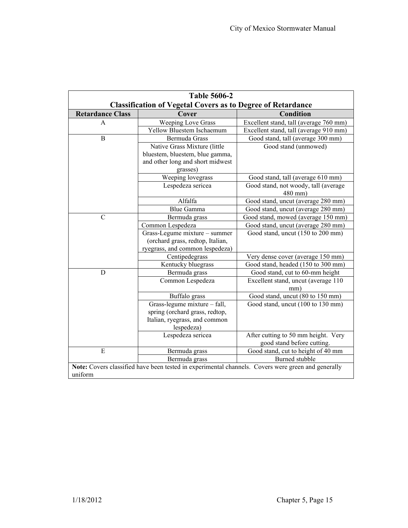| <b>Table 5606-2</b>                                                                                |                                  |                                        |  |
|----------------------------------------------------------------------------------------------------|----------------------------------|----------------------------------------|--|
| <b>Classification of Vegetal Covers as to Degree of Retardance</b>                                 |                                  |                                        |  |
| <b>Retardance Class</b>                                                                            | Cover                            | Condition                              |  |
| A                                                                                                  | <b>Weeping Love Grass</b>        | Excellent stand, tall (average 760 mm) |  |
|                                                                                                    | Yellow Bluestem Ischaemum        | Excellent stand, tall (average 910 mm) |  |
| $\overline{B}$                                                                                     | Bermuda Grass                    | Good stand, tall (average 300 mm)      |  |
|                                                                                                    | Native Grass Mixture (little     | Good stand (unmowed)                   |  |
|                                                                                                    | bluestem, bluestem, blue gamma,  |                                        |  |
|                                                                                                    | and other long and short midwest |                                        |  |
|                                                                                                    | grasses)                         |                                        |  |
|                                                                                                    | Weeping lovegrass                | Good stand, tall (average 610 mm)      |  |
|                                                                                                    | Lespedeza sericea                | Good stand, not woody, tall (average   |  |
|                                                                                                    |                                  | 480 mm)                                |  |
|                                                                                                    | Alfalfa                          | Good stand, uncut (average 280 mm)     |  |
|                                                                                                    | <b>Blue Gamma</b>                | Good stand, uncut (average 280 mm)     |  |
| $\mathcal{C}$                                                                                      | Bermuda grass                    | Good stand, mowed (average 150 mm)     |  |
|                                                                                                    | Common Lespedeza                 | Good stand, uncut (average 280 mm)     |  |
|                                                                                                    | Grass-Legume mixture - summer    | Good stand, uncut (150 to 200 mm)      |  |
|                                                                                                    | (orchard grass, redtop, Italian, |                                        |  |
|                                                                                                    | ryegrass, and common lespedeza)  |                                        |  |
|                                                                                                    | Centipedegrass                   | Very dense cover (average 150 mm)      |  |
|                                                                                                    | Kentucky bluegrass               | Good stand, headed (150 to 300 mm)     |  |
| D                                                                                                  | Bermuda grass                    | Good stand, cut to 60-mm height        |  |
|                                                                                                    | Common Lespedeza                 | Excellent stand, uncut (average 110    |  |
|                                                                                                    |                                  | mm)                                    |  |
|                                                                                                    | Buffalo grass                    | Good stand, uncut (80 to 150 mm)       |  |
|                                                                                                    | Grass-legume mixture - fall,     | Good stand, uncut (100 to 130 mm)      |  |
|                                                                                                    | spring (orchard grass, redtop,   |                                        |  |
|                                                                                                    | Italian, ryegrass, and common    |                                        |  |
|                                                                                                    | lespedeza)                       |                                        |  |
|                                                                                                    | Lespedeza sericea                | After cutting to 50 mm height. Very    |  |
|                                                                                                    |                                  | good stand before cutting.             |  |
| E                                                                                                  | Bermuda grass                    | Good stand, cut to height of 40 mm     |  |
|                                                                                                    | Bermuda grass                    | Burned stubble                         |  |
| Note: Covers classified have been tested in experimental channels. Covers were green and generally |                                  |                                        |  |
| uniform                                                                                            |                                  |                                        |  |